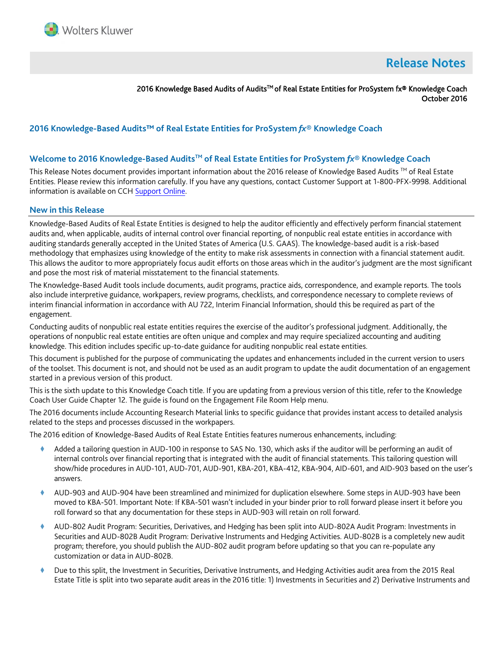

# **Release Notes**

2016 Knowledge Based Audits of Audits™ of Real Estate Entities for ProSystem fx® Knowledge Coach October 2016

## **2016 Knowledge-Based Audits™ of Real Estate Entities for ProSystem** *fx***® Knowledge Coach**

#### **Welcome to 2016 Knowledge-Based AuditsTM of Real Estate Entities for ProSystem** *fx***® Knowledge Coach**

This Release Notes document provides important information about the 2016 release of Knowledge Based Audits <sup>TM</sup> of Real Estate Entities. Please review this information carefully. If you have any questions, contact Customer Support at 1-800-PFX-9998. Additional information is available on CC[H Support Online.](http://support.cch.com/productsupport/)

#### **New in this Release**

Knowledge-Based Audits of Real Estate Entities is designed to help the auditor efficiently and effectively perform financial statement audits and, when applicable, audits of internal control over financial reporting, of nonpublic real estate entities in accordance with auditing standards generally accepted in the United States of America (U.S. GAAS). The knowledge-based audit is a risk-based methodology that emphasizes using knowledge of the entity to make risk assessments in connection with a financial statement audit. This allows the auditor to more appropriately focus audit efforts on those areas which in the auditor's judgment are the most significant and pose the most risk of material misstatement to the financial statements.

The Knowledge-Based Audit tools include documents, audit programs, practice aids, correspondence, and example reports. The tools also include interpretive guidance, workpapers, review programs, checklists, and correspondence necessary to complete reviews of interim financial information in accordance with AU 722, Interim Financial Information, should this be required as part of the engagement.

Conducting audits of nonpublic real estate entities requires the exercise of the auditor's professional judgment. Additionally, the operations of nonpublic real estate entities are often unique and complex and may require specialized accounting and auditing knowledge. This edition includes specific up-to-date guidance for auditing nonpublic real estate entities.

This document is published for the purpose of communicating the updates and enhancements included in the current version to users of the toolset. This document is not, and should not be used as an audit program to update the audit documentation of an engagement started in a previous version of this product.

This is the sixth update to this Knowledge Coach title. If you are updating from a previous version of this title, refer to the Knowledge Coach User Guide Chapter 12. The guide is found on the Engagement File Room Help menu.

The 2016 documents include Accounting Research Material links to specific guidance that provides instant access to detailed analysis related to the steps and processes discussed in the workpapers.

The 2016 edition of Knowledge-Based Audits of Real Estate Entities features numerous enhancements, including:

- Added a tailoring question in AUD-100 in response to SAS No. 130, which asks if the auditor will be performing an audit of internal controls over financial reporting that is integrated with the audit of financial statements. This tailoring question will show/hide procedures in AUD-101, AUD-701, AUD-901, KBA-201, KBA-412, KBA-904, AID-601, and AID-903 based on the user's answers.
- AUD-903 and AUD-904 have been streamlined and minimized for duplication elsewhere. Some steps in AUD-903 have been moved to KBA-501. Important Note: If KBA-501 wasn't included in your binder prior to roll forward please insert it before you roll forward so that any documentation for these steps in AUD-903 will retain on roll forward.
- AUD-802 Audit Program: Securities, Derivatives, and Hedging has been split into AUD-802A Audit Program: Investments in Securities and AUD-802B Audit Program: Derivative Instruments and Hedging Activities. AUD-802B is a completely new audit program; therefore, you should publish the AUD-802 audit program before updating so that you can re-populate any customization or data in AUD-802B.
- Due to this split, the Investment in Securities, Derivative Instruments, and Hedging Activities audit area from the 2015 Real Estate Title is split into two separate audit areas in the 2016 title: 1) Investments in Securities and 2) Derivative Instruments and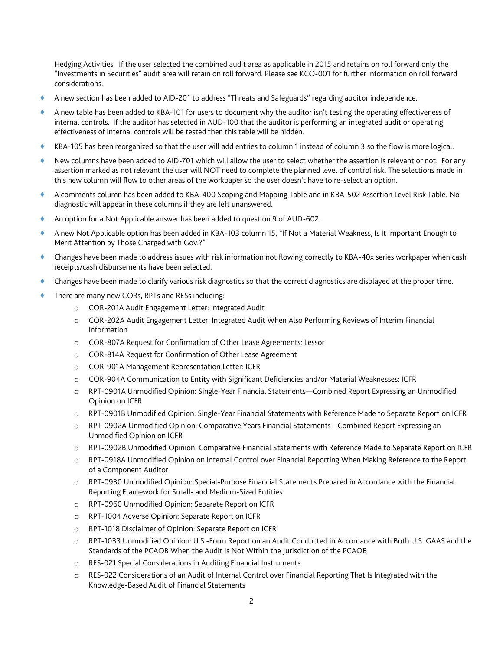Hedging Activities. If the user selected the combined audit area as applicable in 2015 and retains on roll forward only the "Investments in Securities" audit area will retain on roll forward. Please see KCO-001 for further information on roll forward considerations.

- A new section has been added to AID-201 to address "Threats and Safeguards" regarding auditor independence.
- A new table has been added to KBA-101 for users to document why the auditor isn't testing the operating effectiveness of internal controls. If the auditor has selected in AUD-100 that the auditor is performing an integrated audit or operating effectiveness of internal controls will be tested then this table will be hidden.
- KBA-105 has been reorganized so that the user will add entries to column 1 instead of column 3 so the flow is more logical.
- New columns have been added to AID-701 which will allow the user to select whether the assertion is relevant or not. For any assertion marked as not relevant the user will NOT need to complete the planned level of control risk. The selections made in this new column will flow to other areas of the workpaper so the user doesn't have to re-select an option.
- A comments column has been added to KBA-400 Scoping and Mapping Table and in KBA-502 Assertion Level Risk Table. No diagnostic will appear in these columns if they are left unanswered.
- An option for a Not Applicable answer has been added to question 9 of AUD-602.
- A new Not Applicable option has been added in KBA-103 column 15, "If Not a Material Weakness, Is It Important Enough to Merit Attention by Those Charged with Gov.?"
- Changes have been made to address issues with risk information not flowing correctly to KBA-40x series workpaper when cash receipts/cash disbursements have been selected.
- Changes have been made to clarify various risk diagnostics so that the correct diagnostics are displayed at the proper time.
- There are many new CORs, RPTs and RESs including:
	- o COR-201A Audit Engagement Letter: Integrated Audit
	- o COR-202A Audit Engagement Letter: Integrated Audit When Also Performing Reviews of Interim Financial Information
	- o COR-807A Request for Confirmation of Other Lease Agreements: Lessor
	- o COR-814A Request for Confirmation of Other Lease Agreement
	- o COR-901A Management Representation Letter: ICFR
	- o COR-904A Communication to Entity with Significant Deficiencies and/or Material Weaknesses: ICFR
	- o RPT-0901A Unmodified Opinion: Single-Year Financial Statements—Combined Report Expressing an Unmodified Opinion on ICFR
	- o RPT-0901B Unmodified Opinion: Single-Year Financial Statements with Reference Made to Separate Report on ICFR
	- o RPT-0902A Unmodified Opinion: Comparative Years Financial Statements—Combined Report Expressing an Unmodified Opinion on ICFR
	- o RPT-0902B Unmodified Opinion: Comparative Financial Statements with Reference Made to Separate Report on ICFR
	- o RPT-0918A Unmodified Opinion on Internal Control over Financial Reporting When Making Reference to the Report of a Component Auditor
	- o RPT-0930 Unmodified Opinion: Special-Purpose Financial Statements Prepared in Accordance with the Financial Reporting Framework for Small- and Medium-Sized Entities
	- o RPT-0960 Unmodified Opinion: Separate Report on ICFR
	- o RPT-1004 Adverse Opinion: Separate Report on ICFR
	- o RPT-1018 Disclaimer of Opinion: Separate Report on ICFR
	- o RPT-1033 Unmodified Opinion: U.S.-Form Report on an Audit Conducted in Accordance with Both U.S. GAAS and the Standards of the PCAOB When the Audit Is Not Within the Jurisdiction of the PCAOB
	- o RES-021 Special Considerations in Auditing Financial Instruments
	- o RES-022 Considerations of an Audit of Internal Control over Financial Reporting That Is Integrated with the Knowledge-Based Audit of Financial Statements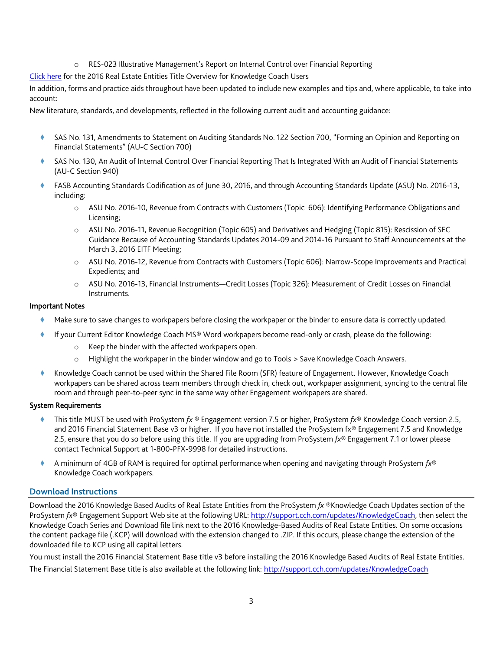o RES-023 Illustrative Management's Report on Internal Control over Financial Reporting

[Click here](http://support.cch.com/updates/KnowledgeCoach/pdf/guides_tab/2016%20Real%20Estate%20Entities%20Title%20Overview%20for%20Knowledge%20Coach%20Users.pdf) for the 2016 Real Estate Entities Title Overview for Knowledge Coach Users

In addition, forms and practice aids throughout have been updated to include new examples and tips and, where applicable, to take into account:

New literature, standards, and developments, reflected in the following current audit and accounting guidance:

- SAS No. 131, Amendments to Statement on Auditing Standards No. 122 Section 700, "Forming an Opinion and Reporting on Financial Statements" (AU-C Section 700)
- SAS No. 130, An Audit of Internal Control Over Financial Reporting That Is Integrated With an Audit of Financial Statements (AU-C Section 940)
- FASB Accounting Standards Codification as of June 30, 2016, and through Accounting Standards Update (ASU) No. 2016-13, including:
	- o ASU No. 2016-10, Revenue from Contracts with Customers (Topic 606): Identifying Performance Obligations and Licensing;
	- o ASU No. 2016-11, Revenue Recognition (Topic 605) and Derivatives and Hedging (Topic 815): Rescission of SEC Guidance Because of Accounting Standards Updates 2014-09 and 2014-16 Pursuant to Staff Announcements at the March 3, 2016 EITF Meeting;
	- o ASU No. 2016-12, Revenue from Contracts with Customers (Topic 606): Narrow-Scope Improvements and Practical Expedients; and
	- o ASU No. 2016-13, Financial Instruments—Credit Losses (Topic 326): Measurement of Credit Losses on Financial Instruments.

#### Important Notes

- Make sure to save changes to workpapers before closing the workpaper or the binder to ensure data is correctly updated.
- If your Current Editor Knowledge Coach MS® Word workpapers become read-only or crash, please do the following:
	- o Keep the binder with the affected workpapers open.
	- o Highlight the workpaper in the binder window and go to Tools > Save Knowledge Coach Answers.
- Knowledge Coach cannot be used within the Shared File Room (SFR) feature of Engagement. However, Knowledge Coach workpapers can be shared across team members through check in, check out, workpaper assignment, syncing to the central file room and through peer-to-peer sync in the same way other Engagement workpapers are shared.

#### System Requirements

- This title MUST be used with ProSystem *fx* ® Engagement version 7.5 or higher, ProSystem *fx*® Knowledge Coach version 2.5, and 2016 Financial Statement Base v3 or higher. If you have not installed the ProSystem fx® Engagement 7.5 and Knowledge 2.5, ensure that you do so before using this title. If you are upgrading from ProSystem *fx*® Engagement 7.1 or lower please contact Technical Support at 1-800-PFX-9998 for detailed instructions.
- A minimum of 4GB of RAM is required for optimal performance when opening and navigating through ProSystem *fx*® Knowledge Coach workpapers.

#### **Download Instructions**

Download the 2016 Knowledge Based Audits of Real Estate Entities from the ProSystem *fx* ®Knowledge Coach Updates section of the ProSystem *fx*® Engagement Support Web site at the following URL[: http://support.cch.com/updates/KnowledgeCoach,](http://support.cch.com/updates/KnowledgeCoach) then select the Knowledge Coach Series and Download file link next to the 2016 Knowledge-Based Audits of Real Estate Entities. On some occasions the content package file (.KCP) will download with the extension changed to .ZIP. If this occurs, please change the extension of the downloaded file to KCP using all capital letters.

You must install the 2016 Financial Statement Base title v3 before installing the 2016 Knowledge Based Audits of Real Estate Entities. The Financial Statement Base title is also available at the following link:<http://support.cch.com/updates/KnowledgeCoach>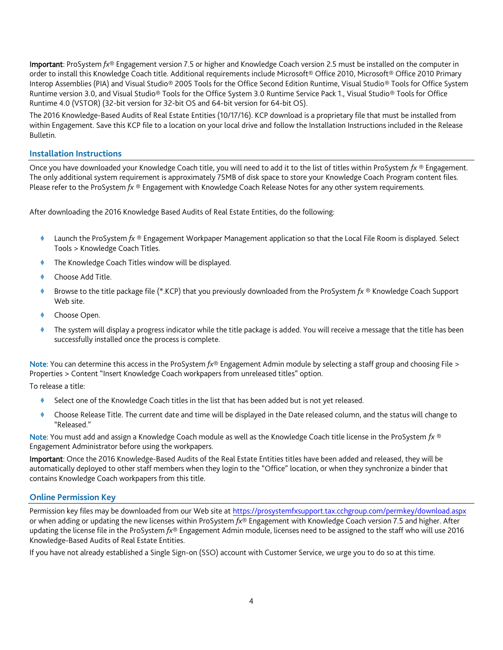Important: ProSystem *fx*® Engagement version 7.5 or higher and Knowledge Coach version 2.5 must be installed on the computer in order to install this Knowledge Coach title. Additional requirements include Microsoft® Office 2010, Microsoft® Office 2010 Primary Interop Assemblies (PIA) and Visual Studio® 2005 Tools for the Office Second Edition Runtime, Visual Studio® Tools for Office System Runtime version 3.0, and Visual Studio® Tools for the Office System 3.0 Runtime Service Pack 1., Visual Studio® Tools for Office Runtime 4.0 (VSTOR) (32-bit version for 32-bit OS and 64-bit version for 64-bit OS).

The 2016 Knowledge-Based Audits of Real Estate Entities (10/17/16). KCP download is a proprietary file that must be installed from within Engagement. Save this KCP file to a location on your local drive and follow the Installation Instructions included in the Release Bulletin.

#### **Installation Instructions**

Once you have downloaded your Knowledge Coach title, you will need to add it to the list of titles within ProSystem *fx* ® Engagement. The only additional system requirement is approximately 75MB of disk space to store your Knowledge Coach Program content files. Please refer to the ProSystem *fx* ® Engagement with Knowledge Coach Release Notes for any other system requirements.

After downloading the 2016 Knowledge Based Audits of Real Estate Entities, do the following:

- Launch the ProSystem *fx* ® Engagement Workpaper Management application so that the Local File Room is displayed. Select Tools > Knowledge Coach Titles.
- The Knowledge Coach Titles window will be displayed.
- Choose Add Title.
- Browse to the title package file (\*.KCP) that you previously downloaded from the ProSystem *fx* ® Knowledge Coach Support Web site.
- Choose Open.
- The system will display a progress indicator while the title package is added. You will receive a message that the title has been successfully installed once the process is complete.

Note: You can determine this access in the ProSystem *fx*® Engagement Admin module by selecting a staff group and choosing File > Properties > Content "Insert Knowledge Coach workpapers from unreleased titles" option.

To release a title:

- Select one of the Knowledge Coach titles in the list that has been added but is not yet released.
- Choose Release Title. The current date and time will be displayed in the Date released column, and the status will change to "Released."

Note: You must add and assign a Knowledge Coach module as well as the Knowledge Coach title license in the ProSystem *fx* ® Engagement Administrator before using the workpapers.

Important: Once the 2016 Knowledge-Based Audits of the Real Estate Entities titles have been added and released, they will be automatically deployed to other staff members when they login to the "Office" location, or when they synchronize a binder that contains Knowledge Coach workpapers from this title.

## **Online Permission Key**

Permission key files may be downloaded from our Web site a[t https://prosystemfxsupport.tax.cchgroup.com/permkey/download.aspx](https://prosystemfxsupport.tax.cchgroup.com/permkey/download.aspx)  or when adding or updating the new licenses within ProSystem *fx*® Engagement with Knowledge Coach version 7.5 and higher. After updating the license file in the ProSystem *fx*® Engagement Admin module, licenses need to be assigned to the staff who will use 2016 Knowledge-Based Audits of Real Estate Entities.

If you have not already established a Single Sign-on (SSO) account with Customer Service, we urge you to do so at this time.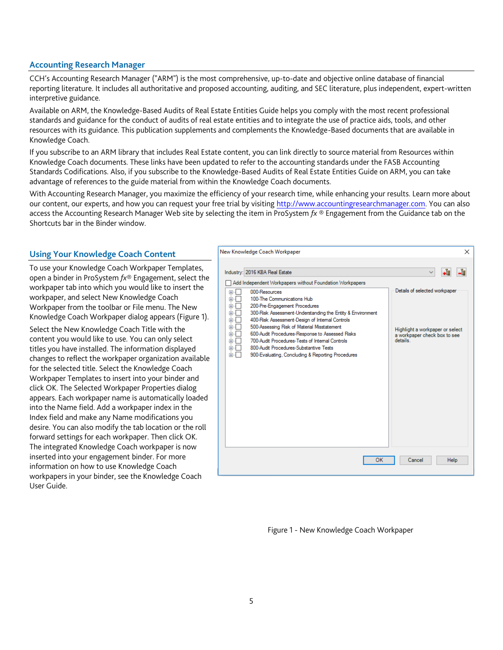### **Accounting Research Manager**

CCH's Accounting Research Manager ("ARM") is the most comprehensive, up-to-date and objective online database of financial reporting literature. It includes all authoritative and proposed accounting, auditing, and SEC literature, plus independent, expert-written interpretive guidance.

Available on ARM, the Knowledge-Based Audits of Real Estate Entities Guide helps you comply with the most recent professional standards and guidance for the conduct of audits of real estate entities and to integrate the use of practice aids, tools, and other resources with its guidance. This publication supplements and complements the Knowledge-Based documents that are available in Knowledge Coach.

If you subscribe to an ARM library that includes Real Estate content, you can link directly to source material from Resources within Knowledge Coach documents. These links have been updated to refer to the accounting standards under the FASB Accounting Standards Codifications. Also, if you subscribe to the Knowledge-Based Audits of Real Estate Entities Guide on ARM, you can take advantage of references to the guide material from within the Knowledge Coach documents.

With Accounting Research Manager, you maximize the efficiency of your research time, while enhancing your results. Learn more about our content, our experts, and how you can request your free trial by visiting [http://www.accountingresearchmanager.com.](http://www.accountingresearchmanager.com/) You can also access the Accounting Research Manager Web site by selecting the item in ProSystem *fx* ® Engagement from the Guidance tab on the Shortcuts bar in the Binder window.

## **Using Your Knowledge Coach Content**

To use your Knowledge Coach Workpaper Templates, open a binder in ProSystem *fx*® Engagement, select the workpaper tab into which you would like to insert the workpaper, and select New Knowledge Coach Workpaper from the toolbar or File menu. The New Knowledge Coach Workpaper dialog appears (Figure 1). Select the New Knowledge Coach Title with the content you would like to use. You can only select titles you have installed. The information displayed changes to reflect the workpaper organization available for the selected title. Select the Knowledge Coach Workpaper Templates to insert into your binder and click OK. The Selected Workpaper Properties dialog appears. Each workpaper name is automatically loaded into the Name field. Add a workpaper index in the Index field and make any Name modifications you desire. You can also modify the tab location or the roll forward settings for each workpaper. Then click OK. The integrated Knowledge Coach workpaper is now inserted into your engagement binder. For more information on how to use Knowledge Coach workpapers in your binder, see the Knowledge Coach User Guide.

| Industry: 2016 KBA Real Estate<br>-ē<br>$\checkmark$<br>Add Independent Workpapers without Foundation Workpapers<br>Details of selected workpaper<br>000-Resources<br>$+$<br>Ėŀ                                                                                                                                                                                                                                                                                                          |                            | ×                               |
|------------------------------------------------------------------------------------------------------------------------------------------------------------------------------------------------------------------------------------------------------------------------------------------------------------------------------------------------------------------------------------------------------------------------------------------------------------------------------------------|----------------------------|---------------------------------|
|                                                                                                                                                                                                                                                                                                                                                                                                                                                                                          |                            | -8                              |
| 200-Pre-Engagement Procedures<br>Ė<br>300-Risk Assessment-Understanding the Entity & Environment<br>Ė<br>400-Risk Assessment-Design of Internal Controls<br>÷.<br>500-Assessing Risk of Material Misstatement<br>Ė<br>600-Audit Procedures-Response to Assessed Risks<br>田<br>a workpaper check box to see<br>details<br>700-Audit Procedures-Tests of Internal Controls<br>Ėŀ<br>800-Audit Procedures-Substantive Tests<br>审…<br>审<br>900-Evaluating, Concluding & Reporting Procedures | 100-The Communications Hub | Highlight a workpaper or select |

Figure 1 - New Knowledge Coach Workpaper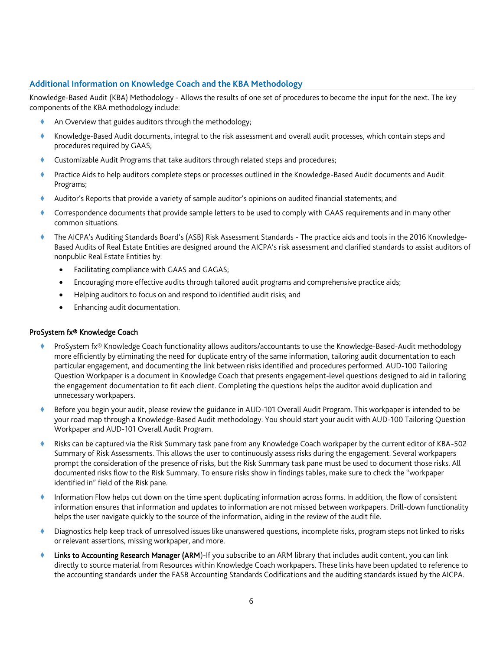## **Additional Information on Knowledge Coach and the KBA Methodology**

Knowledge-Based Audit (KBA) Methodology - Allows the results of one set of procedures to become the input for the next. The key components of the KBA methodology include:

- An Overview that guides auditors through the methodology;
- Knowledge-Based Audit documents, integral to the risk assessment and overall audit processes, which contain steps and procedures required by GAAS;
- Customizable Audit Programs that take auditors through related steps and procedures;
- Practice Aids to help auditors complete steps or processes outlined in the Knowledge-Based Audit documents and Audit Programs;
- Auditor's Reports that provide a variety of sample auditor's opinions on audited financial statements; and
- Correspondence documents that provide sample letters to be used to comply with GAAS requirements and in many other common situations.
- The AICPA's Auditing Standards Board's (ASB) Risk Assessment Standards The practice aids and tools in the 2016 Knowledge-Based Audits of Real Estate Entities are designed around the AICPA's risk assessment and clarified standards to assist auditors of nonpublic Real Estate Entities by:
	- Facilitating compliance with GAAS and GAGAS;
	- Encouraging more effective audits through tailored audit programs and comprehensive practice aids;
	- Helping auditors to focus on and respond to identified audit risks; and
	- Enhancing audit documentation.

#### ProSystem fx® Knowledge Coach

- ProSystem fx® Knowledge Coach functionality allows auditors/accountants to use the Knowledge-Based-Audit methodology more efficiently by eliminating the need for duplicate entry of the same information, tailoring audit documentation to each particular engagement, and documenting the link between risks identified and procedures performed. AUD-100 Tailoring Question Workpaper is a document in Knowledge Coach that presents engagement-level questions designed to aid in tailoring the engagement documentation to fit each client. Completing the questions helps the auditor avoid duplication and unnecessary workpapers.
- Before you begin your audit, please review the guidance in AUD-101 Overall Audit Program. This workpaper is intended to be your road map through a Knowledge-Based Audit methodology. You should start your audit with AUD-100 Tailoring Question Workpaper and AUD-101 Overall Audit Program.
- Risks can be captured via the Risk Summary task pane from any Knowledge Coach workpaper by the current editor of KBA-502 Summary of Risk Assessments. This allows the user to continuously assess risks during the engagement. Several workpapers prompt the consideration of the presence of risks, but the Risk Summary task pane must be used to document those risks. All documented risks flow to the Risk Summary. To ensure risks show in findings tables, make sure to check the "workpaper identified in" field of the Risk pane.
- Information Flow helps cut down on the time spent duplicating information across forms. In addition, the flow of consistent information ensures that information and updates to information are not missed between workpapers. Drill-down functionality helps the user navigate quickly to the source of the information, aiding in the review of the audit file.
- Diagnostics help keep track of unresolved issues like unanswered questions, incomplete risks, program steps not linked to risks or relevant assertions, missing workpaper, and more.
- Links to Accounting Research Manager (ARM)-If you subscribe to an ARM library that includes audit content, you can link directly to source material from Resources within Knowledge Coach workpapers. These links have been updated to reference to the accounting standards under the FASB Accounting Standards Codifications and the auditing standards issued by the AICPA.